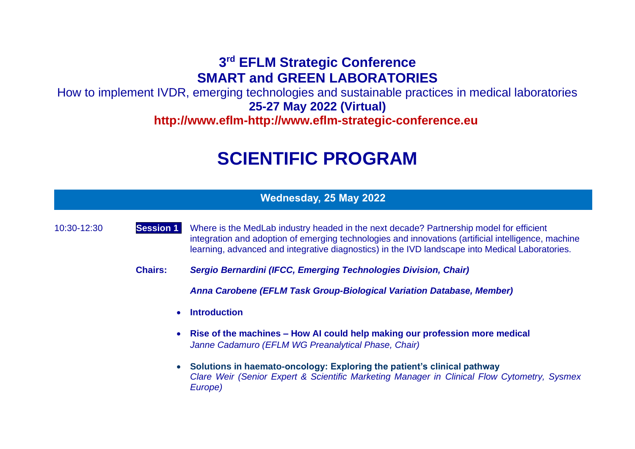# **3 rd EFLM Strategic Conference SMART and GREEN LABORATORIES**

How to implement IVDR, emerging technologies and sustainable practices in medical laboratories **25-27 May 2022 (Virtual) http://www.eflm-http://www.eflm-strategic-conference.eu/**

# **SCIENTIFIC PROGRAM**

|  |  | Wednesday, 25 May 2022 |
|--|--|------------------------|
|  |  |                        |

10:30-12:30 **Session 1.** Where is the MedLab industry headed in the next decade? Partnership model for efficient integration and adoption of emerging technologies and innovations (artificial intelligence, machine learning, advanced and integrative diagnostics) in the IVD landscape into Medical Laboratories.

**Chairs:** *Sergio Bernardini (IFCC, Emerging Technologies Division, Chair)*

*Anna Carobene (EFLM Task Group-Biological Variation Database, Member)*

- **Introduction**
- **Rise of the machines – How AI could help making our profession more medical** *Janne Cadamuro (EFLM WG Preanalytical Phase, Chair)*
- **Solutions in haemato-oncology: Exploring the patient's clinical pathway** *Clare Weir (Senior Expert & Scientific Marketing Manager in Clinical Flow Cytometry, Sysmex Europe)*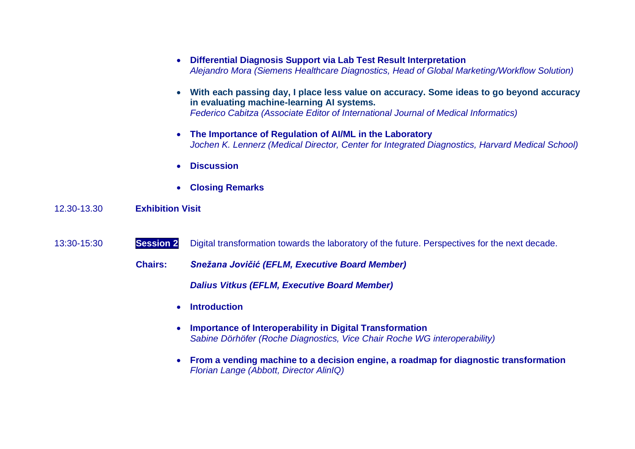- **Differential Diagnosis Support via Lab Test Result Interpretation** *Alejandro Mora (Siemens Healthcare Diagnostics, Head of Global Marketing/Workflow Solution)*
- **With each passing day, I place less value on accuracy. Some ideas to go beyond accuracy in evaluating machine-learning AI systems.** *Federico Cabitza (Associate Editor of International Journal of Medical Informatics)*
- **The Importance of Regulation of AI/ML in the Laboratory** *Jochen K. Lennerz (Medical Director, Center for Integrated Diagnostics, Harvard Medical School)*
- **Discussion**
- **Closing Remarks**

#### 12.30-13.30 **Exhibition Visit**

- 13:30-15:30 **Session 2** Digital transformation towards the laboratory of the future. Perspectives for the next decade.
	- **Chairs:** *Snežana Jovičić (EFLM, Executive Board Member)*

*Dalius Vitkus (EFLM, Executive Board Member)*

- **Introduction**
- **Importance of Interoperability in Digital Transformation** *Sabine Dörhöfer (Roche Diagnostics, Vice Chair Roche WG interoperability)*
- **From a vending machine to a decision engine, a roadmap for diagnostic transformation** *Florian Lange (Abbott, Director AlinIQ)*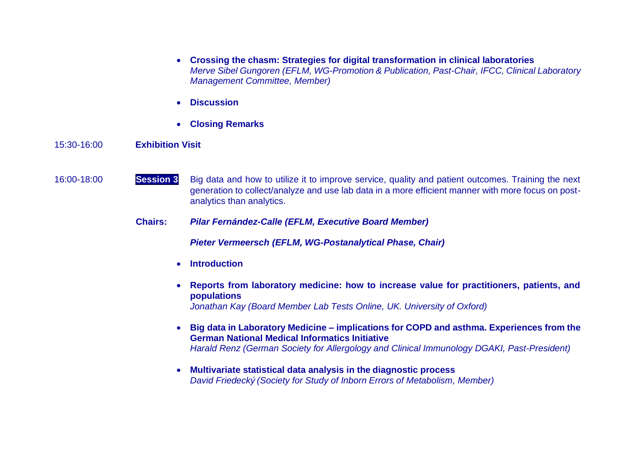- **Crossing the chasm: Strategies for digital transformation in clinical laboratories** *Merve Sibel Gungoren (EFLM, WG-Promotion & Publication, Past-Chair, IFCC, Clinical Laboratory Management Committee, Member)*
- **Discussion**
- **Closing Remarks**

## 15:30-16:00 **Exhibition Visit**

- 16:00-18:00 **Session 3** Big data and how to utilize it to improve service, quality and patient outcomes. Training the next generation to collect/analyze and use lab data in a more efficient manner with more focus on postanalytics than analytics.
	- **Chairs:** *Pilar Fernández-Calle (EFLM, Executive Board Member)*

*Pieter Vermeersch (EFLM, WG-Postanalytical Phase, Chair)*

- **Introduction**
- **Reports from laboratory medicine: how to increase value for practitioners, patients, and populations** *Jonathan Kay (Board Member Lab Tests Online, UK. University of Oxford)*
- **Big data in Laboratory Medicine – implications for COPD and asthma. Experiences from the German National Medical Informatics Initiative** *Harald Renz (German Society for Allergology and Clinical Immunology DGAKI, Past-President)*
- **Multivariate statistical data analysis in the diagnostic process** *David Friedecký (Society for Study of Inborn Errors of Metabolism, Member)*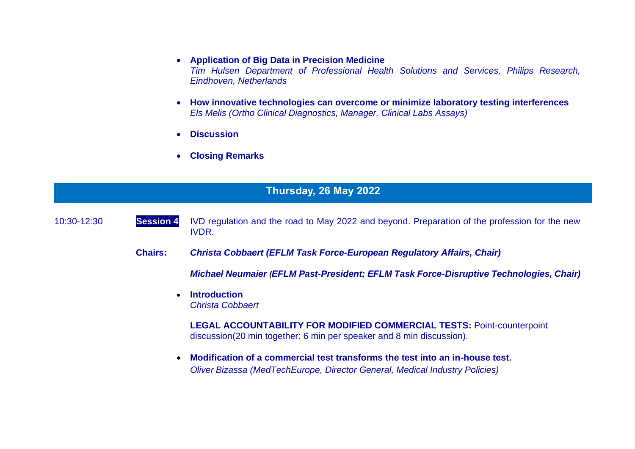#### • **Application of Big Data in Precision Medicine**

*Tim Hulsen Department of Professional Health Solutions and Services, Philips Research, Eindhoven, Netherlands*

- **How innovative technologies can overcome or minimize laboratory testing interferences** *Els Melis (Ortho Clinical Diagnostics, Manager, Clinical Labs Assays)*
- **Discussion**
- **Closing Remarks**

# **Thursday, 26 May 2022**

10:30-12:30 **Session 4** IVD regulation and the road to May 2022 and beyond. Preparation of the profession for the new IVDR.

**Chairs:** *Christa Cobbaert (EFLM Task Force-European Regulatory Affairs, Chair)* 

*Michael Neumaier (EFLM Past-President; EFLM Task Force-Disruptive Technologies, Chair)*

• **Introduction** *Christa Cobbaert* 

> **LEGAL ACCOUNTABILITY FOR MODIFIED COMMERCIAL TESTS:** Point-counterpoint discussion(20 min together: 6 min per speaker and 8 min discussion).

• **Modification of a commercial test transforms the test into an in-house test.** *Oliver Bizassa (MedTechEurope, Director General, Medical Industry Policies)*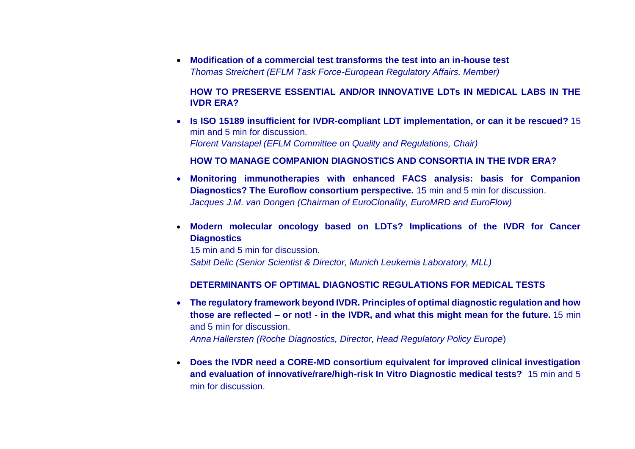• **Modification of a commercial test transforms the test into an in-house test** *Thomas Streichert (EFLM Task Force-European Regulatory Affairs, Member)* 

## **HOW TO PRESERVE ESSENTIAL AND/OR INNOVATIVE LDTs IN MEDICAL LABS IN THE IVDR ERA?**

• **Is ISO 15189 insufficient for IVDR-compliant LDT implementation, or can it be rescued?** 15 min and 5 min for discussion. *Florent Vanstapel (EFLM Committee on Quality and Regulations, Chair)*

## **HOW TO MANAGE COMPANION DIAGNOSTICS AND CONSORTIA IN THE IVDR ERA?**

- **Monitoring immunotherapies with enhanced FACS analysis: basis for Companion Diagnostics? The Euroflow consortium perspective.** 15 min and 5 min for discussion. *Jacques J.M. van Dongen (Chairman of EuroClonality, EuroMRD and EuroFlow)*
- **Modern molecular oncology based on LDTs? Implications of the IVDR for Cancer Diagnostics**

15 min and 5 min for discussion. *Sabit Delic (Senior Scientist & Director, Munich Leukemia Laboratory, MLL)*

# **DETERMINANTS OF OPTIMAL DIAGNOSTIC REGULATIONS FOR MEDICAL TESTS**

- **The regulatory framework beyond IVDR. Principles of optimal diagnostic regulation and how those are reflected – or not! - in the IVDR, and what this might mean for the future.** 15 min and 5 min for discussion. *Anna Hallersten (Roche Diagnostics, Director, Head Regulatory Policy Europe*)
- **Does the IVDR need a CORE-MD consortium equivalent for improved clinical investigation and evaluation of innovative/rare/high-risk In Vitro Diagnostic medical tests?** 15 min and 5 min for discussion.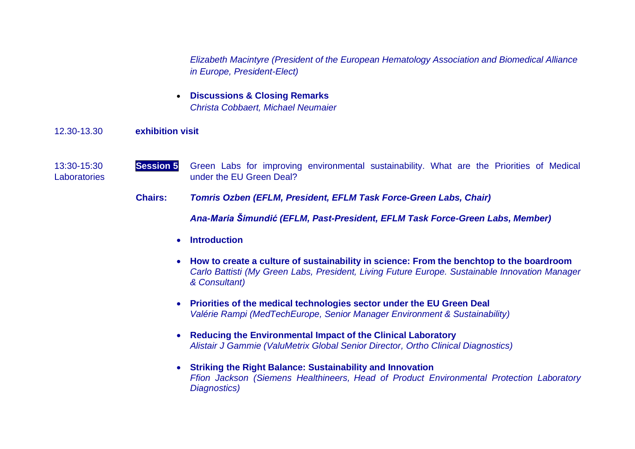*Elizabeth Macintyre (President of the European Hematology Association and Biomedical Alliance in Europe, President-Elect)*

• **Discussions & Closing Remarks** *Christa Cobbaert, Michael Neumaier*

#### 12.30-13.30 **exhibition visit**

- 13:30-15:30 **Session 5** Green Labs for improving environmental sustainability. What are the Priorities of Medical Laboratories under the EU Green Deal?
	- **Chairs:** *Tomris Ozben (EFLM, President, EFLM Task Force-Green Labs, Chair)*

*Ana-Maria Šimundić (EFLM, Past-President, EFLM Task Force-Green Labs, Member)*

- **Introduction**
- **How to create a culture of sustainability in science: From the benchtop to the boardroom** *Carlo Battisti (My Green Labs, President, Living Future Europe. Sustainable Innovation Manager & Consultant)*
- **Priorities of the medical technologies sector under the EU Green Deal** *Valérie Rampi (MedTechEurope, Senior Manager Environment & Sustainability)*
- **Reducing the Environmental Impact of the Clinical Laboratory** *Alistair J Gammie (ValuMetrix Global Senior Director, Ortho Clinical Diagnostics)*
- **Striking the Right Balance: Sustainability and Innovation** *Ffion Jackson (Siemens Healthineers, Head of Product Environmental Protection Laboratory Diagnostics)*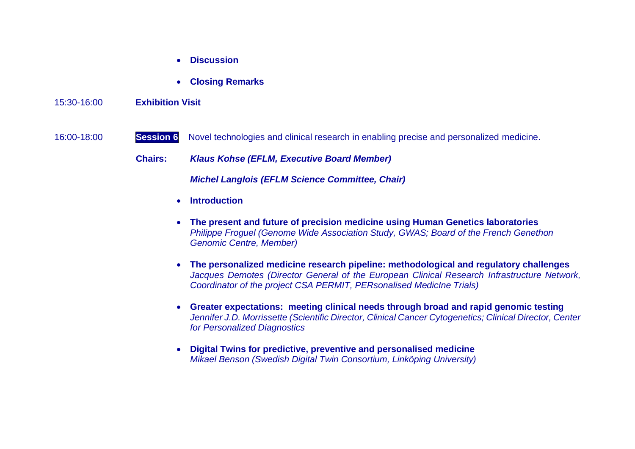- **Discussion**
- **Closing Remarks**

#### 15:30-16:00 **Exhibition Visit**

# 16:00-18:00 **Session 6** Novel technologies and clinical research in enabling precise and personalized medicine.

**Chairs:** *Klaus Kohse (EFLM, Executive Board Member)*

*Michel Langlois (EFLM Science Committee, Chair)*

- **Introduction**
- **The present and future of precision medicine using Human Genetics laboratories** *Philippe Froguel (Genome Wide Association Study, GWAS; Board of the French Genethon Genomic Centre, Member)*
- **The personalized medicine research pipeline: methodological and regulatory challenges** *Jacques Demotes (Director General of the European Clinical Research Infrastructure Network, Coordinator of the project CSA PERMIT, PERsonalised MedicIne Trials)*
- **Greater expectations: meeting clinical needs through broad and rapid genomic testing**  *Jennifer J.D. Morrissette (Scientific Director, Clinical Cancer Cytogenetics; Clinical Director, Center for Personalized Diagnostics*
- **Digital Twins for predictive, preventive and personalised medicine** *Mikael Benson (Swedish Digital Twin Consortium, Linköping University)*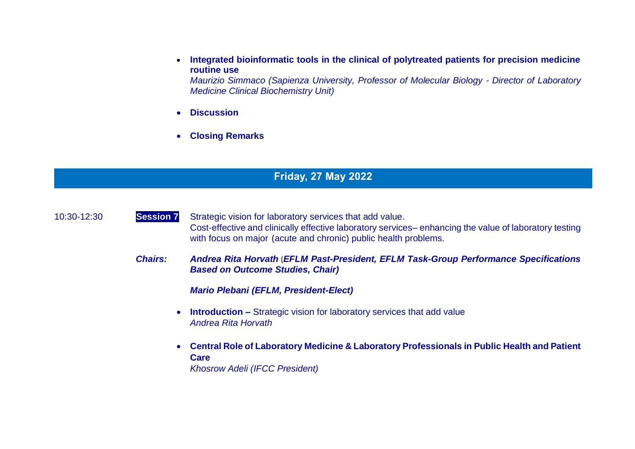• **Integrated bioinformatic tools in the clinical of polytreated patients for precision medicine routine use**

*Maurizio Simmaco (Sapienza University, Professor of Molecular Biology - Director of Laboratory Medicine Clinical Biochemistry Unit)*

- **Discussion**
- **Closing Remarks**

# **Friday, 27 May 2022**

10:30-12:30 **Session 7** Strategic vision for laboratory services that add value. Cost-effective and clinically effective laboratory services– enhancing the value of laboratory testing with focus on major (acute and chronic) public health problems.

> *Chairs: Andrea Rita Horvath* (*EFLM Past-President, EFLM Task-Group Performance Specifications Based on Outcome Studies, Chair)*

> > *Mario Plebani (EFLM, President-Elect)*

- **Introduction –** Strategic vision for laboratory services that add value *Andrea Rita Horvath*
- **Central Role of Laboratory Medicine & Laboratory Professionals in Public Health and Patient Care**

*Khosrow Adeli (IFCC President)*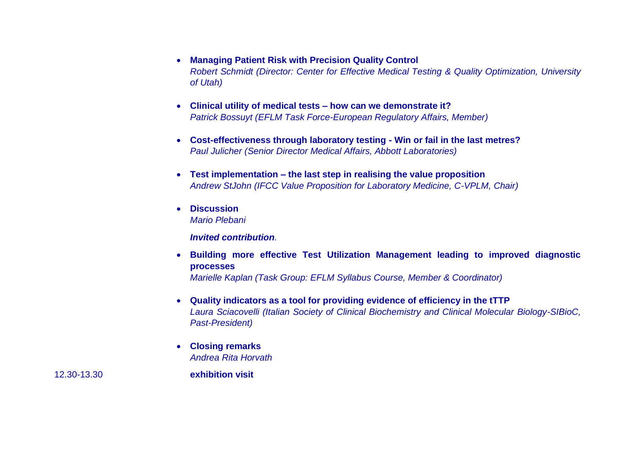- **Managing Patient Risk with Precision Quality Control**  *Robert Schmidt (Director: Center for Effective Medical Testing & Quality Optimization, University of Utah)*
- **Clinical utility of medical tests – how can we demonstrate it?** *Patrick Bossuyt (EFLM Task Force-European Regulatory Affairs, Member)*
- **Cost-effectiveness through laboratory testing - Win or fail in the last metres?**  *Paul Julicher (Senior Director Medical Affairs, Abbott Laboratories)*
- **Test implementation – the last step in realising the value proposition** *Andrew StJohn (IFCC Value Proposition for Laboratory Medicine, C-VPLM, Chair)*
- **Discussion** *Mario Plebani*

*Invited contribution.*

- **Building more effective Test Utilization Management leading to improved diagnostic processes** *Marielle Kaplan (Task Group: EFLM Syllabus Course, Member & Coordinator)*
- **Quality indicators as a tool for providing evidence of efficiency in the tTTP** *Laura Sciacovelli (Italian Society of Clinical Biochemistry and Clinical Molecular Biology-SIBioC, Past-President)*
- **Closing remarks** *Andrea Rita Horvath*

12.30-13.30 **exhibition visit**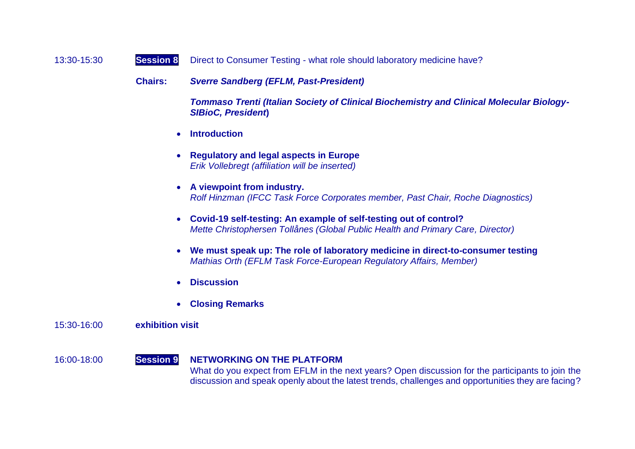| 13:30-15:30<br><b>Session 8</b> |  |  | Direct to Consumer Testing - what role should laboratory medicine have? |
|---------------------------------|--|--|-------------------------------------------------------------------------|
|---------------------------------|--|--|-------------------------------------------------------------------------|

**Chairs:** *Sverre Sandberg (EFLM, Past-President)*

*Tommaso Trenti (Italian Society of Clinical Biochemistry and Clinical Molecular Biology-SIBioC, President***)**

- **Introduction**
- **Regulatory and legal aspects in Europe** *Erik Vollebregt (affiliation will be inserted)*
- **A viewpoint from industry.** *Rolf Hinzman (IFCC Task Force Corporates member, Past Chair, Roche Diagnostics)*
- **Covid-19 self-testing: An example of self-testing out of control?** *Mette Christophersen Tollånes (Global Public Health and Primary Care, Director)*
- **We must speak up: The role of laboratory medicine in direct-to-consumer testing** *Mathias Orth (EFLM Task Force-European Regulatory Affairs, Member)*
- **Discussion**
- **Closing Remarks**

#### 15:30-16:00 **exhibition visit**

#### 16:00-18:00 **Session 9 NETWORKING ON THE PLATFORM**  What do you expect from EFLM in the next years? Open discussion for the participants to join the discussion and speak openly about the latest trends, challenges and opportunities they are facing?